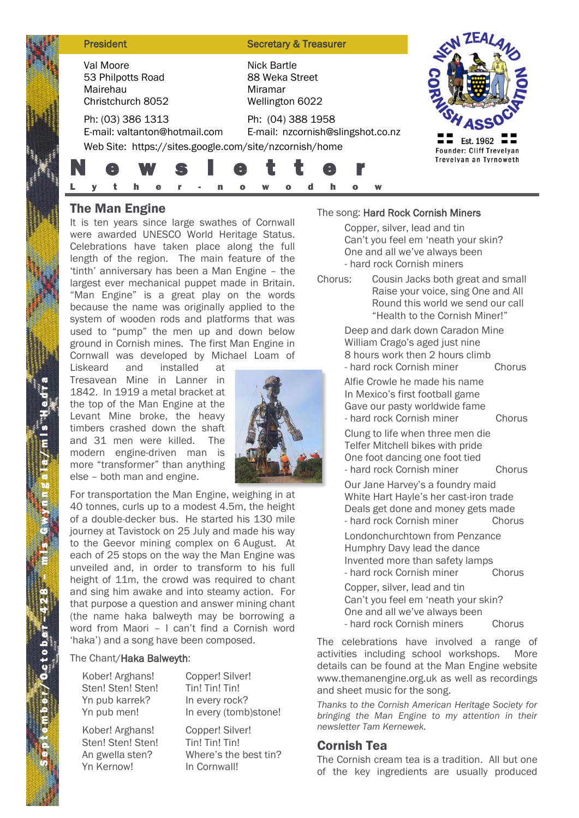| <b>President</b>                                                                                             | <b>Secretary &amp; Treasurer</b>                            |                                                    |
|--------------------------------------------------------------------------------------------------------------|-------------------------------------------------------------|----------------------------------------------------|
| Val Moore<br>53 Philpotts Road<br>Mairehau<br>Christchurch 8052                                              | Nick Bartle<br>88 Weka Street<br>Miramar<br>Wellington 6022 | Est. 1962                                          |
| Ph: (03) 386 1313<br>E-mail: valtanton@hotmail.com<br>Web Site: https://sites.google.com/site/nzcornish/home | Ph: (04) 388 1958<br>E-mail: nzcornish@slingshot.co.nz      |                                                    |
| W<br>$\bullet$<br>E.                                                                                         | e                                                           | Founder: Cliff Trevelyan<br>Trevelyan an Tyrnoweth |

# **The Man Engine**

It is ten years since large swathes of Cornwall were awarded UNESCO World Heritage Status. Celebrations have taken place along the full length of the region. The main feature of the 'tinth' anniversary has been a Man Engine – the largest ever mechanical puppet made in Britain. "Man Engine" is a great play on the words because the name was originally applied to the system of wooden rods and platforms that was used to "pump" the men up and down below ground in Cornish mines. The first Man Engine in Cornwall was developed by Michael Loam of

Liskeard and installed at Tresavean Mine in Lanner in 1842. In 1919 a metal bracket at the top of the Man Engine at the Levant Mine broke, the heavy timbers crashed down the shaft and 31 men were killed. The modern engine-driven man is more "transformer" than anything else – both man and engine.



**The Man Engine**<br>It is ten years since<br>were awarded UNES<br>Celebrations have t<br>length of the region<br>"tinth' anniversary ha<br>largest ever mechan<br>"Man Engine" is a<br>because the name v<br>system of wooden ray<br>ground in Cornish mil<br>c For transportation the Man Engine, weighing in at 40 tonnes, curls up to a modest 4.5m, the height of a double-decker bus. He started his 130 mile journey at Tavistock on 25 July and made his way to the Geevor mining complex on 6 August. At each of 25 stops on the way the Man Engine was unveiled and, in order to transform to his full height of 11m, the crowd was required to chant and sing him awake and into steamy action. For that purpose a question and answer mining chant (the name haka balweyth may be borrowing a word from Maori – I can't find a Cornish word 'haka') and a song have been composed.

#### The Chant/Haka Balweyth:

Kober! Arghans! Sten! Sten! Sten! Yn pub karrek? Yn pub men!

In every rock? In every (tomb)stone!

Kober! Arghans! Sten! Sten! Sten! An gwella sten? Yn Kernow!

Copper! Silver! Tin! Tin! Tin! Where's the best tin? In Cornwall!

Copper! Silver! Tin! Tin! Tin!

#### The song: Hard Rock Cornish Miners

Copper, silver, lead and tin Can't you feel em 'neath your skin? One and all we've always been - hard rock Cornish miners

Chorus: Cousin Jacks both great and small Raise your voice, sing One and All Round this world we send our call "Health to the Cornish Miner!"

> Deep and dark down Caradon Mine William Crago's aged just nine 8 hours work then 2 hours climb - hard rock Cornish miner Chorus

> Alfie Crowle he made his name In Mexico's first football game Gave our pasty worldwide fame - hard rock Cornish miner Chorus

Clung to life when three men die

Telfer Mitchell bikes with pride One foot dancing one foot tied - hard rock Cornish miner Chorus

Our Jane Harvey's a foundry maid White Hart Hayle's her cast-iron trade Deals get done and money gets made - hard rock Cornish miner Chorus

Londonchurchtown from Penzance Humphry Davy lead the dance Invented more than safety lamps - hard rock Cornish miner Chorus

Copper, silver, lead and tin Can't you feel em 'neath your skin? One and all we've always been - hard rock Cornish miners Chorus

The celebrations have involved a range of activities including school workshops. More details can be found at the Man Engine website [www.themanengine.org.uk](http://www.themanengine.org.uk/) as well as recordings and sheet music for the song.

*Thanks to the Cornish American Heritage Society for bringing the Man Engine to my attention in their newsletter Tam Kernewek.*

# Cornish Tea

The Cornish cream tea is a tradition. All but one of the key ingredients are usually produced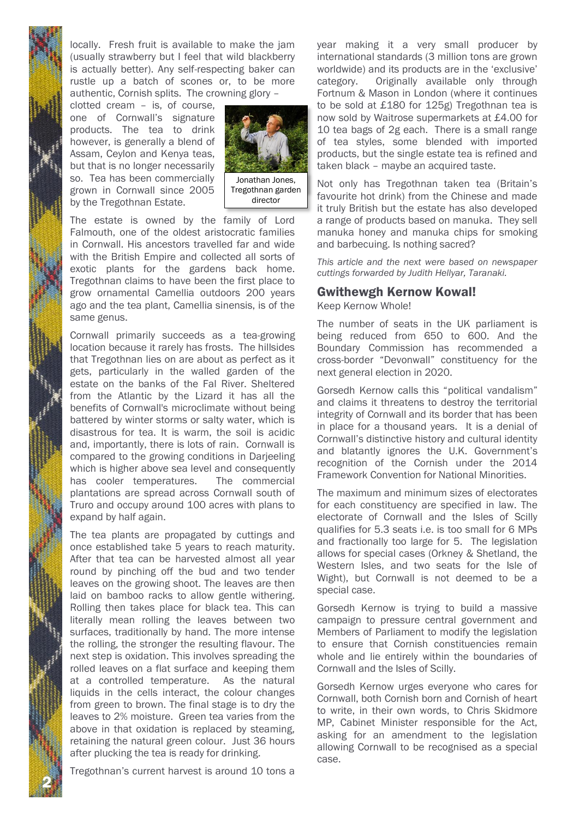locally. Fresh fruit is available to make the jam (usually strawberry but I feel that wild blackberry is actually better). Any self-respecting baker can rustle up a batch of scones or, to be more authentic, Cornish splits. The crowning glory –

clotted cream – is, of course, one of Cornwall's signature products. The tea to drink however, is generally a blend of Assam, Ceylon and Kenya teas, but that is no longer necessarily so. Tea has been commercially grown in Cornwall since 2005 by the Tregothnan Estate.



Tregothnan garden director

The estate is owned by the family of Lord Falmouth, one of the oldest aristocratic families in Cornwall. His ancestors travelled far and wide with the British Empire and collected all sorts of exotic plants for the gardens back home. Tregothnan claims to have been the first place to grow ornamental Camellia outdoors 200 years ago and the tea plant, Camellia sinensis, is of the same genus.

Cornwall primarily succeeds as a tea-growing location because it rarely has frosts. The hillsides that Tregothnan lies on are about as perfect as it gets, particularly in the walled garden of the estate on the banks of the Fal River. Sheltered from the Atlantic by the Lizard it has all the benefits of Cornwall's microclimate without being battered by winter storms or salty water, which is disastrous for tea. It is warm, the soil is acidic and, importantly, there is lots of rain. Cornwall is compared to the growing conditions in Darjeeling which is higher above sea level and consequently has cooler temperatures. The commercial plantations are spread across Cornwall south of Truro and occupy around 100 acres with plans to expand by half again.

The tea plants are propagated by cuttings and once established take 5 years to reach maturity. After that tea can be harvested almost all year round by pinching off the bud and two tender leaves on the growing shoot. The leaves are then laid on bamboo racks to allow gentle withering. Rolling then takes place for black tea. This can literally mean rolling the leaves between two surfaces, traditionally by hand. The more intense the rolling, the stronger the resulting flavour. The next step is oxidation. This involves spreading the rolled leaves on a flat surface and keeping them at a controlled temperature. As the natural liquids in the cells interact, the colour changes from green to brown. The final stage is to dry the leaves to 2% moisture. Green tea varies from the above in that oxidation is replaced by steaming, retaining the natural green colour. Just 36 hours after plucking the tea is ready for drinking.

Tregothnan's current harvest is around 10 tons a

2 N

year making it a very small producer by international standards (3 million tons are grown worldwide) and its products are in the 'exclusive' category. Originally available only through Fortnum & Mason in London (where it continues to be sold at £180 for 125g) Tregothnan tea is now sold by Waitrose supermarkets at £4.00 for 10 tea bags of 2g each. There is a small range of tea styles, some blended with imported products, but the single estate tea is refined and taken black – maybe an acquired taste.

Not only has Tregothnan taken tea (Britain's favourite hot drink) from the Chinese and made it truly British but the estate has also developed a range of products based on manuka. They sell manuka honey and manuka chips for smoking and barbecuing. Is nothing sacred?

*This article and the next were based on newspaper cuttings forwarded by Judith Hellyar, Taranaki.*

### Gwithewgh Kernow Kowal!

Keep Kernow Whole!

The number of seats in the UK parliament is being reduced from 650 to 600. And the Boundary Commission has recommended a cross-border "Devonwall" constituency for the next general election in 2020.

Gorsedh Kernow calls this "political vandalism" and claims it threatens to destroy the territorial integrity of Cornwall and its border that has been in place for a thousand years. It is a denial of Cornwall's distinctive history and cultural identity and blatantly ignores the U.K. Government's recognition of the Cornish under the 2014 Framework Convention for National Minorities.

The maximum and minimum sizes of electorates for each constituency are specified in law. The electorate of Cornwall and the Isles of Scilly qualifies for 5.3 seats i.e. is too small for 6 MPs and fractionally too large for 5. The legislation allows for special cases (Orkney & Shetland, the Western Isles, and two seats for the Isle of Wight), but Cornwall is not deemed to be a special case.

Gorsedh Kernow is trying to build a massive campaign to pressure central government and Members of Parliament to modify the legislation to ensure that Cornish constituencies remain whole and lie entirely within the boundaries of Cornwall and the Isles of Scilly.

Gorsedh Kernow urges everyone who cares for Cornwall, both Cornish born and Cornish of heart to write, in their own words, to Chris Skidmore MP, Cabinet Minister responsible for the Act, asking for an amendment to the legislation allowing Cornwall to be recognised as a special case.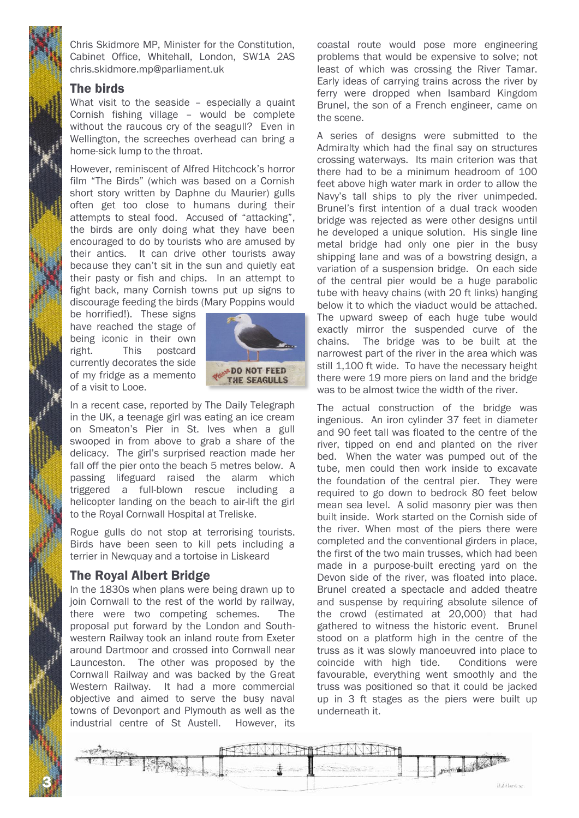Chris Skidmore MP, Minister for the Constitution, Cabinet Office, Whitehall, London, SW1A 2AS chris.skidmore.mp@parliament.uk

#### The birds

What visit to the seaside - especially a quaint Cornish fishing village – would be complete without the raucous cry of the seagull? Even in Wellington, the screeches overhead can bring a home-sick lump to the throat.

However, reminiscent of Alfred Hitchcock's horror film "The Birds" (which was based on a Cornish short story written by Daphne du Maurier) gulls often get too close to humans during their attempts to steal food. Accused of "attacking", the birds are only doing what they have been encouraged to do by tourists who are amused by their antics. It can drive other tourists away because they can't sit in the sun and quietly eat their pasty or fish and chips. In an attempt to fight back, many Cornish towns put up signs to discourage feeding the birds (Mary Poppins would

be horrified!). These signs have reached the stage of being iconic in their own right. This postcard currently decorates the side of my fridge as a memento of a visit to Looe.



In a recent case, reported by The Daily Telegraph in the UK, a teenage girl was eating an ice cream on Smeaton's Pier in St. Ives when a gull swooped in from above to grab a share of the delicacy. The girl's surprised reaction made her fall off the pier onto the beach 5 metres below. A passing lifeguard raised the alarm which triggered a full-blown rescue including a helicopter landing on the beach to air-lift the girl to the Royal Cornwall Hospital at Treliske.

Rogue gulls do not stop at terrorising tourists. Birds have been seen to kill pets including a terrier in Newquay and a tortoise in Liskeard

### The Royal Albert Bridge

3 N

In the 1830s when plans were being drawn up to join Cornwall to the rest of the world by railway, there were two competing schemes. The proposal put forward by the London and Southwestern Railway took an inland route from Exeter around Dartmoor and crossed into Cornwall near Launceston. The other was proposed by the Cornwall Railway and was backed by the Great Western Railway. It had a more commercial objective and aimed to serve the busy naval towns of Devonport and Plymouth as well as the industrial centre of St Austell. However, its

coastal route would pose more engineering problems that would be expensive to solve; not least of which was crossing the River Tamar. Early ideas of carrying trains across the river by ferry were dropped when Isambard Kingdom Brunel, the son of a French engineer, came on the scene.

A series of designs were submitted to the Admiralty which had the final say on structures crossing waterways. Its main criterion was that there had to be a minimum headroom of 100 feet above high water mark in order to allow the Navy's tall ships to ply the river unimpeded. Brunel's first intention of a dual track wooden bridge was rejected as were other designs until he developed a unique solution. His single line metal bridge had only one pier in the busy shipping lane and was of a bowstring design, a variation of a suspension bridge. On each side of the central pier would be a huge parabolic tube with heavy chains (with 20 ft links) hanging below it to which the viaduct would be attached. The upward sweep of each huge tube would exactly mirror the suspended curve of the chains. The bridge was to be built at the narrowest part of the river in the area which was still 1,100 ft wide. To have the necessary height there were 19 more piers on land and the bridge was to be almost twice the width of the river.

The actual construction of the bridge was ingenious. An iron cylinder 37 feet in diameter and 90 feet tall was floated to the centre of the river, tipped on end and planted on the river bed. When the water was pumped out of the tube, men could then work inside to excavate the foundation of the central pier. They were required to go down to bedrock 80 feet below mean sea level. A solid masonry pier was then built inside. Work started on the Cornish side of the river. When most of the piers there were completed and the conventional girders in place, the first of the two main trusses, which had been made in a purpose-built erecting yard on the Devon side of the river, was floated into place. Brunel created a spectacle and added theatre and suspense by requiring absolute silence of the crowd (estimated at 20,000) that had gathered to witness the historic event. Brunel stood on a platform high in the centre of the truss as it was slowly manoeuvred into place to coincide with high tide. Conditions were favourable, everything went smoothly and the truss was positioned so that it could be jacked up in 3 ft stages as the piers were built up underneath it.